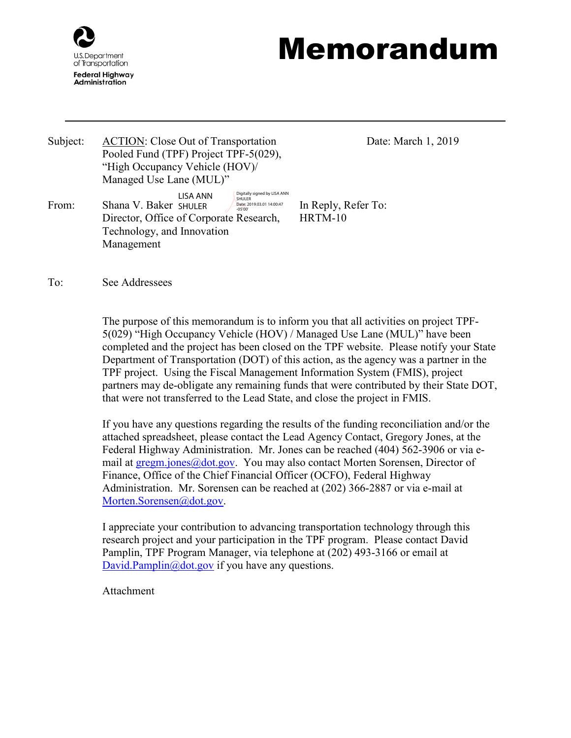

## Memorandum

Subject: ACTION: Close Out of Transportation Pooled Fund (TPF) Project TPF-5(029), "High Occupancy Vehicle (HOV)/ Managed Use Lane (MUL)" Digitally signed by LISA ANN

Technology, and Innovation

Director, Office of Corporate Research,

LISA ANN

SHULER Date: 2019.03.01 14:00:47 -05'00'

Date: March 1, 2019

From: Shana V. Baker SHULER **Date:2019.03.01 140047** In Reply, Refer To: HRTM-10

To: See Addressees

Management

The purpose of this memorandum is to inform you that all activities on project TPF-5(029) "High Occupancy Vehicle (HOV) / Managed Use Lane (MUL)" have been completed and the project has been closed on the TPF website. Please notify your State Department of Transportation (DOT) of this action, as the agency was a partner in the TPF project. Using the Fiscal Management Information System (FMIS), project partners may de-obligate any remaining funds that were contributed by their State DOT, that were not transferred to the Lead State, and close the project in FMIS.

If you have any questions regarding the results of the funding reconciliation and/or the attached spreadsheet, please contact the Lead Agency Contact, Gregory Jones, at the Federal Highway Administration. Mr. Jones can be reached (404) 562-3906 or via email at **gregm.jones@dot.gov**. You may also contact Morten Sorensen, Director of Finance, Office of the Chief Financial Officer (OCFO), Federal Highway Administration. Mr. Sorensen can be reached at (202) 366-2887 or via e-mail at [Morten.Sorensen@dot.gov.](mailto:Morten.Sorensen@dot.gov)

I appreciate your contribution to advancing transportation technology through this research project and your participation in the TPF program. Please contact David Pamplin, TPF Program Manager, via telephone at (202) 493-3166 or email at [David.Pamplin@dot.gov](mailto:David.Pamplin@dot.gov) if you have any questions.

Attachment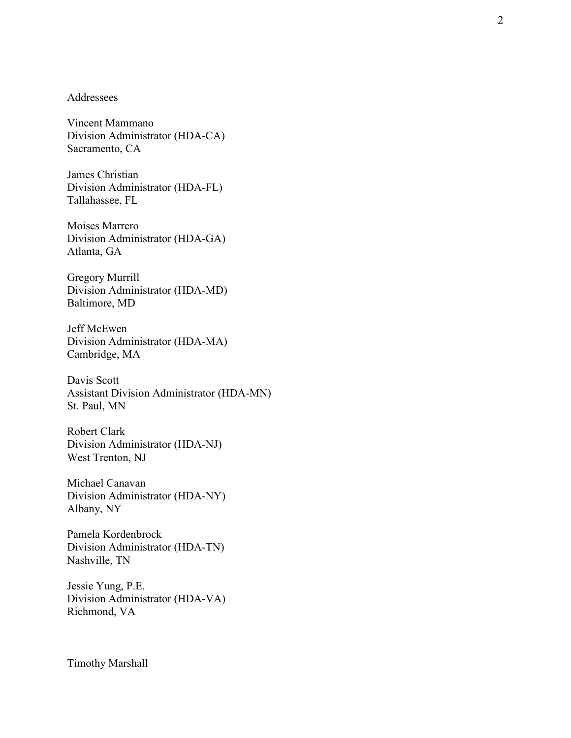## Addressees

Vincent Mammano Division Administrator (HDA-CA) Sacramento, CA

James Christian Division Administrator (HDA-FL) Tallahassee, FL

Moises Marrero Division Administrator (HDA-GA) Atlanta, GA

Gregory Murrill Division Administrator (HDA-MD) Baltimore, MD

Jeff McEwen Division Administrator (HDA-MA) Cambridge, MA

Davis Scott Assistant Division Administrator (HDA-MN) St. Paul, MN

Robert Clark Division Administrator (HDA-NJ) West Trenton, NJ

Michael Canavan Division Administrator (HDA-NY) Albany, NY

Pamela Kordenbrock Division Administrator (HDA-TN) Nashville, TN

Jessie Yung, P.E. Division Administrator (HDA-VA) Richmond, VA

Timothy Marshall